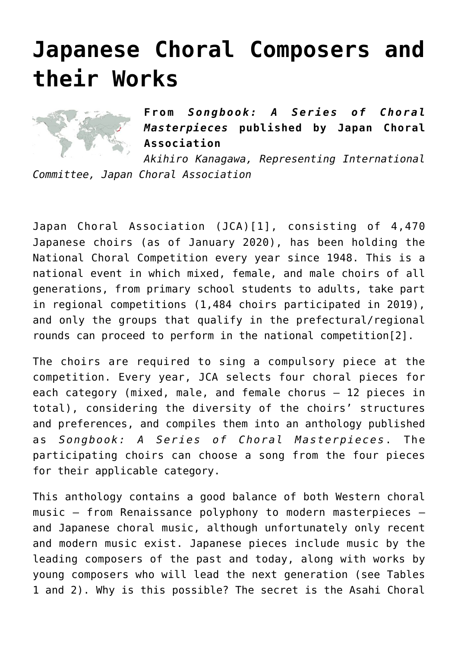# **[Japanese Choral Composers and](http://icb.ifcm.net/japanese-choral-composers-and-their-works/) [their Works](http://icb.ifcm.net/japanese-choral-composers-and-their-works/)**



**From** *Songbook: A Series of Choral Masterpieces* **published by Japan Choral Association**

*Akihiro Kanagawa, Representing International Committee, Japan Choral Association*

<span id="page-0-0"></span>Japan Choral Association (JCA)[\[1\]](#page-16-0), consisting of 4,470 Japanese choirs (as of January 2020), has been holding the National Choral Competition every year since 1948. This is a national event in which mixed, female, and male choirs of all generations, from primary school students to adults, take part in regional competitions (1,484 choirs participated in 2019), and only the groups that qualify in the prefectural/regional rounds can proceed to perform in the national competition[\[2\]](#page-17-0).

<span id="page-0-1"></span>The choirs are required to sing a compulsory piece at the competition. Every year, JCA selects four choral pieces for each category (mixed, male, and female chorus – 12 pieces in total), considering the diversity of the choirs' structures and preferences, and compiles them into an anthology published as *Songbook: A Series of Choral Masterpieces*. The participating choirs can choose a song from the four pieces for their applicable category.

This anthology contains a good balance of both Western choral music – from Renaissance polyphony to modern masterpieces – and Japanese choral music, although unfortunately only recent and modern music exist. Japanese pieces include music by the leading composers of the past and today, along with works by young composers who will lead the next generation (see Tables 1 and 2). Why is this possible? The secret is the Asahi Choral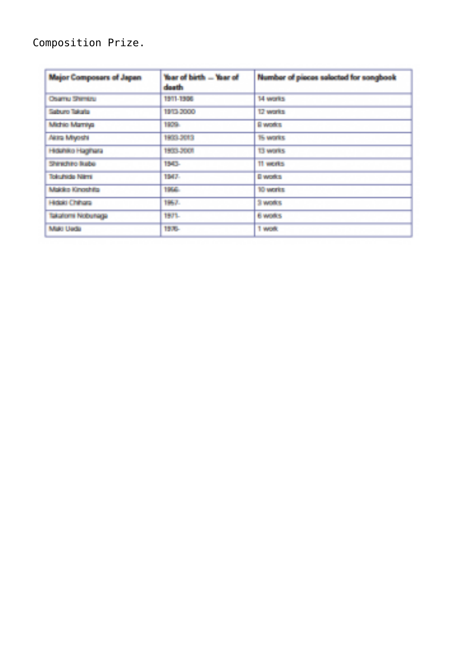## Composition Prize.

| <b>Major Composars of Japan</b> | Year of birth - Year of<br>sherika | Number of pieces selected for songbook |
|---------------------------------|------------------------------------|----------------------------------------|
| <b>Charry Shimtru</b>           | 1911-1906                          | 14 works                               |
| Saburo Takata                   | 1999 50000                         | 12 works                               |
| Michig Marriya                  | 1972.                              | <b>Since Are</b>                       |
| Akira Miyoshi                   | 1903-2013                          | 15 works                               |
| Hiduhko Haghara                 | 1970 - 700                         | <b>13 works</b>                        |
| Shinghing Ruba-                 | 15255                              | 11 works                               |
| Totalhida Nimi                  | 1947-                              | El works.                              |
| Makke Kingshifts                | 1746                               | 10 years                               |
| Hope Chinara                    | 1967.                              | Si works.                              |
| Taskahorma Nodopharja           | 1971.                              | 6 woks                                 |
| Maid Useta                      | the con-                           | 1 work                                 |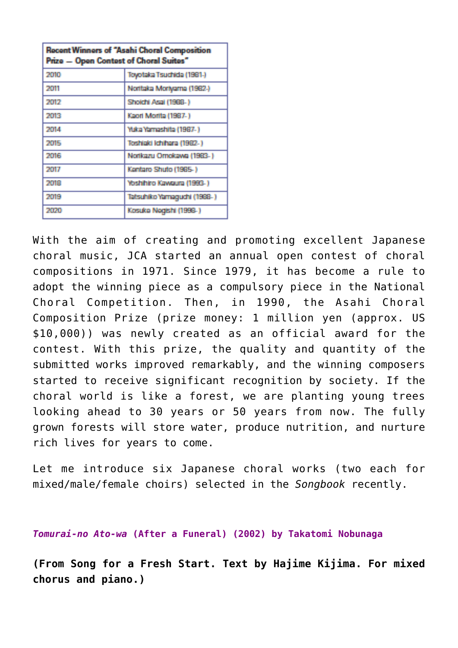| <b>Recent Winners of "Asahi Choral Composition</b><br>Prize - Open Contest of Choral Suites" |                             |  |
|----------------------------------------------------------------------------------------------|-----------------------------|--|
| 2010                                                                                         | Toyotaka Tsuchida (1981-)   |  |
| 2011                                                                                         | Norttaka Mortyama (1982-)   |  |
| 2012                                                                                         | Shoichi Asal (1988-)        |  |
| 2013                                                                                         | Kaori Morita (1987-)        |  |
| 2014                                                                                         | Yuka Yamashita (1987-)      |  |
| 2015                                                                                         | Toshiaki Ichihara (1982-)   |  |
| 2016                                                                                         | Nortkazu Ornokawa (1983-)   |  |
| 2017                                                                                         | Kantaro Shuto (1985-)       |  |
| 2018                                                                                         | Yoshihiro Kawaura (1993-)   |  |
| 2019                                                                                         | Tatsuhiko Yamaguchi (1988-) |  |
| 2020                                                                                         | Kosuke Negishi (1998-)      |  |

With the aim of creating and promoting excellent Japanese choral music, JCA started an annual open contest of choral compositions in 1971. Since 1979, it has become a rule to adopt the winning piece as a compulsory piece in the National Choral Competition. Then, in 1990, the Asahi Choral Composition Prize (prize money: 1 million yen (approx. US \$10,000)) was newly created as an official award for the contest. With this prize, the quality and quantity of the submitted works improved remarkably, and the winning composers started to receive significant recognition by society. If the choral world is like a forest, we are planting young trees looking ahead to 30 years or 50 years from now. The fully grown forests will store water, produce nutrition, and nurture rich lives for years to come.

Let me introduce six Japanese choral works (two each for mixed/male/female choirs) selected in the *Songbook* recently.

*Tomurai-no Ato-wa* **(After a Funeral) (2002) by Takatomi Nobunaga**

**(From Song for a Fresh Start. Text by Hajime Kijima. For mixed chorus and piano.)**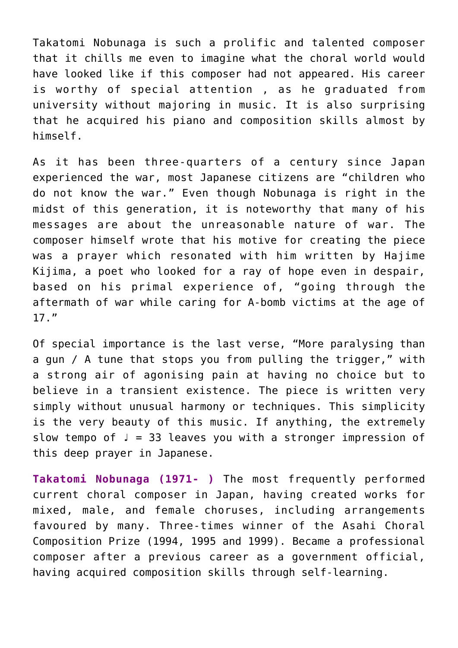Takatomi Nobunaga is such a prolific and talented composer that it chills me even to imagine what the choral world would have looked like if this composer had not appeared. His career is worthy of special attention , as he graduated from university without majoring in music. It is also surprising that he acquired his piano and composition skills almost by himself.

As it has been three-quarters of a century since Japan experienced the war, most Japanese citizens are "children who do not know the war." Even though Nobunaga is right in the midst of this generation, it is noteworthy that many of his messages are about the unreasonable nature of war. The composer himself wrote that his motive for creating the piece was a prayer which resonated with him written by Hajime Kijima, a poet who looked for a ray of hope even in despair, based on his primal experience of, "going through the aftermath of war while caring for A-bomb victims at the age of 17."

Of special importance is the last verse, "More paralysing than a gun / A tune that stops you from pulling the trigger," with a strong air of agonising pain at having no choice but to believe in a transient existence. The piece is written very simply without unusual harmony or techniques. This simplicity is the very beauty of this music. If anything, the extremely slow tempo of  $J = 33$  leaves you with a stronger impression of this deep prayer in Japanese.

**Takatomi Nobunaga (1971- )** The most frequently performed current choral composer in Japan, having created works for mixed, male, and female choruses, including arrangements favoured by many. Three-times winner of the Asahi Choral Composition Prize (1994, 1995 and 1999). Became a professional composer after a previous career as a government official, having acquired composition skills through self-learning.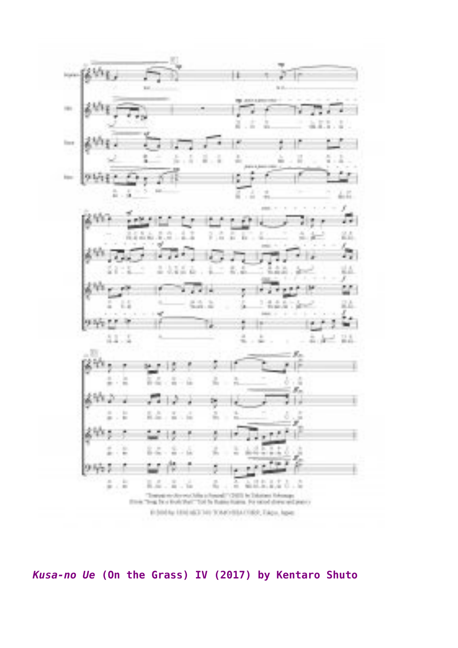

*Kusa-no Ue* **(On the Grass) IV (2017) by Kentaro Shuto**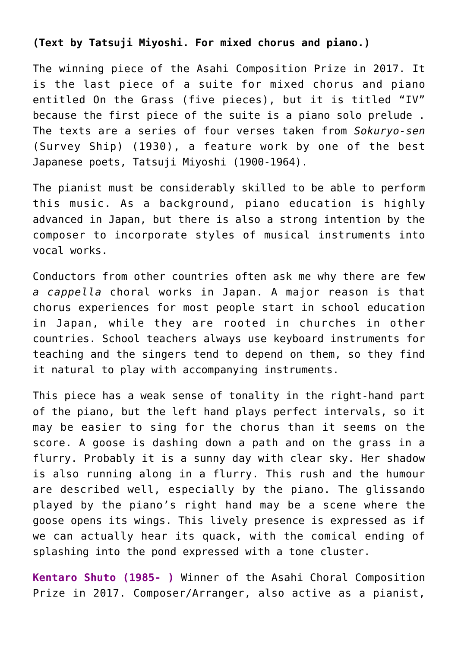#### **(Text by Tatsuji Miyoshi. For mixed chorus and piano.)**

The winning piece of the Asahi Composition Prize in 2017. It is the last piece of a suite for mixed chorus and piano entitled On the Grass (five pieces), but it is titled "IV" because the first piece of the suite is a piano solo prelude . The texts are a series of four verses taken from *Sokuryo-sen* (Survey Ship) (1930), a feature work by one of the best Japanese poets, Tatsuji Miyoshi (1900-1964).

The pianist must be considerably skilled to be able to perform this music. As a background, piano education is highly advanced in Japan, but there is also a strong intention by the composer to incorporate styles of musical instruments into vocal works.

Conductors from other countries often ask me why there are few *a cappella* choral works in Japan. A major reason is that chorus experiences for most people start in school education in Japan, while they are rooted in churches in other countries. School teachers always use keyboard instruments for teaching and the singers tend to depend on them, so they find it natural to play with accompanying instruments.

This piece has a weak sense of tonality in the right-hand part of the piano, but the left hand plays perfect intervals, so it may be easier to sing for the chorus than it seems on the score. A goose is dashing down a path and on the grass in a flurry. Probably it is a sunny day with clear sky. Her shadow is also running along in a flurry. This rush and the humour are described well, especially by the piano. The glissando played by the piano's right hand may be a scene where the goose opens its wings. This lively presence is expressed as if we can actually hear its quack, with the comical ending of splashing into the pond expressed with a tone cluster.

**Kentaro Shuto (1985- )** Winner of the Asahi Choral Composition Prize in 2017. Composer/Arranger, also active as a pianist,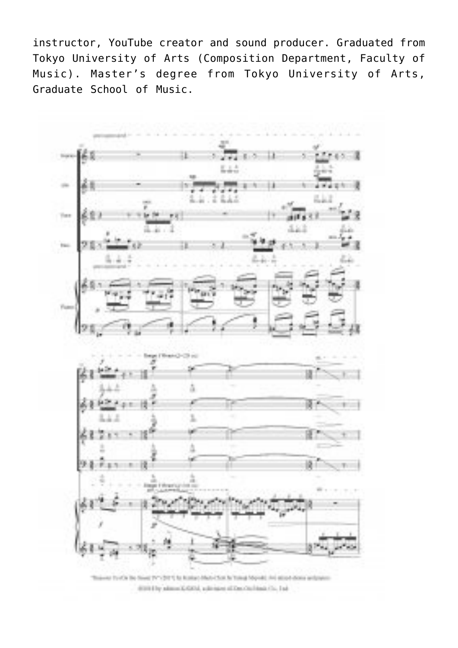instructor, YouTube creator and sound producer. Graduated from Tokyo University of Arts (Composition Department, Faculty of Music). Master's degree from Tokyo University of Arts, Graduate School of Music.



This was thinkin the filling throught to business Market South Trans Moore), And adopt down and pain distribute administrational automated of Constitutional Co., Ind.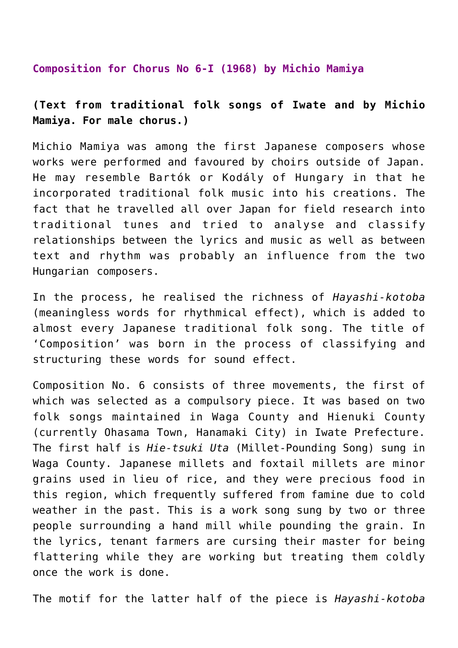#### **Composition for Chorus No 6-I (1968) by Michio Mamiya**

### **(Text from traditional folk songs of Iwate and by Michio Mamiya. For male chorus.)**

Michio Mamiya was among the first Japanese composers whose works were performed and favoured by choirs outside of Japan. He may resemble Bartók or Kodály of Hungary in that he incorporated traditional folk music into his creations. The fact that he travelled all over Japan for field research into traditional tunes and tried to analyse and classify relationships between the lyrics and music as well as between text and rhythm was probably an influence from the two Hungarian composers.

In the process, he realised the richness of *Hayashi-kotoba* (meaningless words for rhythmical effect), which is added to almost every Japanese traditional folk song. The title of 'Composition' was born in the process of classifying and structuring these words for sound effect.

Composition No. 6 consists of three movements, the first of which was selected as a compulsory piece. It was based on two folk songs maintained in Waga County and Hienuki County (currently Ohasama Town, Hanamaki City) in Iwate Prefecture. The first half is *Hie-tsuki Uta* (Millet-Pounding Song) sung in Waga County. Japanese millets and foxtail millets are minor grains used in lieu of rice, and they were precious food in this region, which frequently suffered from famine due to cold weather in the past. This is a work song sung by two or three people surrounding a hand mill while pounding the grain. In the lyrics, tenant farmers are cursing their master for being flattering while they are working but treating them coldly once the work is done.

The motif for the latter half of the piece is *Hayashi-kotoba*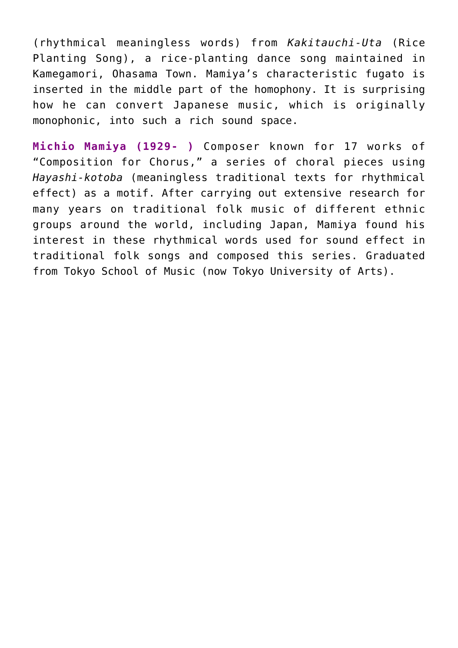(rhythmical meaningless words) from *Kakitauchi-Uta* (Rice Planting Song), a rice-planting dance song maintained in Kamegamori, Ohasama Town. Mamiya's characteristic fugato is inserted in the middle part of the homophony. It is surprising how he can convert Japanese music, which is originally monophonic, into such a rich sound space.

**Michio Mamiya (1929- )** Composer known for 17 works of "Composition for Chorus," a series of choral pieces using *Hayashi-kotoba* (meaningless traditional texts for rhythmical effect) as a motif. After carrying out extensive research for many years on traditional folk music of different ethnic groups around the world, including Japan, Mamiya found his interest in these rhythmical words used for sound effect in traditional folk songs and composed this series. Graduated from Tokyo School of Music (now Tokyo University of Arts).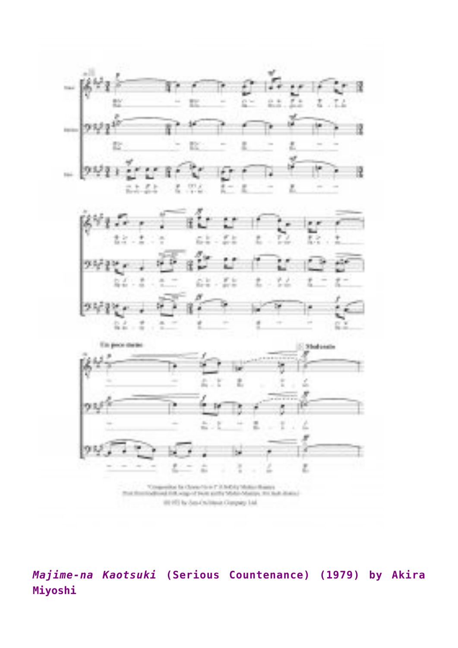![](_page_9_Figure_0.jpeg)

*Majime-na Kaotsuki* **(Serious Countenance) (1979) by Akira Miyoshi**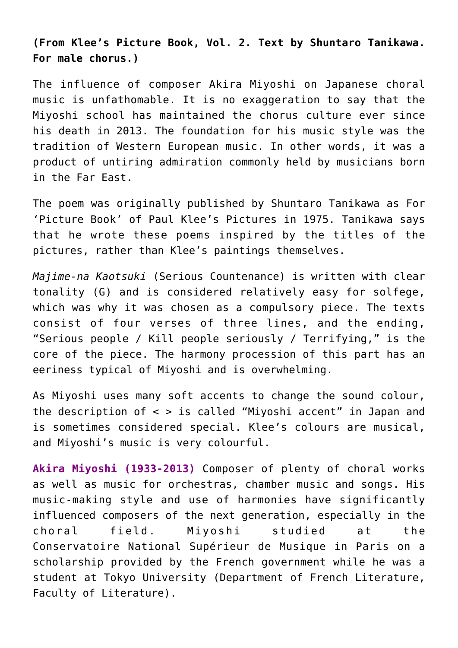**(From Klee's Picture Book, Vol. 2. Text by Shuntaro Tanikawa. For male chorus.)**

The influence of composer Akira Miyoshi on Japanese choral music is unfathomable. It is no exaggeration to say that the Miyoshi school has maintained the chorus culture ever since his death in 2013. The foundation for his music style was the tradition of Western European music. In other words, it was a product of untiring admiration commonly held by musicians born in the Far East.

The poem was originally published by Shuntaro Tanikawa as For 'Picture Book' of Paul Klee's Pictures in 1975. Tanikawa says that he wrote these poems inspired by the titles of the pictures, rather than Klee's paintings themselves.

*Majime-na Kaotsuki* (Serious Countenance) is written with clear tonality (G) and is considered relatively easy for solfege, which was why it was chosen as a compulsory piece. The texts consist of four verses of three lines, and the ending, "Serious people / Kill people seriously / Terrifying," is the core of the piece. The harmony procession of this part has an eeriness typical of Miyoshi and is overwhelming.

As Miyoshi uses many soft accents to change the sound colour, the description of < > is called "Miyoshi accent" in Japan and is sometimes considered special. Klee's colours are musical, and Miyoshi's music is very colourful.

**Akira Miyoshi (1933-2013)** Composer of plenty of choral works as well as music for orchestras, chamber music and songs. His music-making style and use of harmonies have significantly influenced composers of the next generation, especially in the choral field. Miyoshi studied at the Conservatoire National Supérieur de Musique in Paris on a scholarship provided by the French government while he was a student at Tokyo University (Department of French Literature, Faculty of Literature).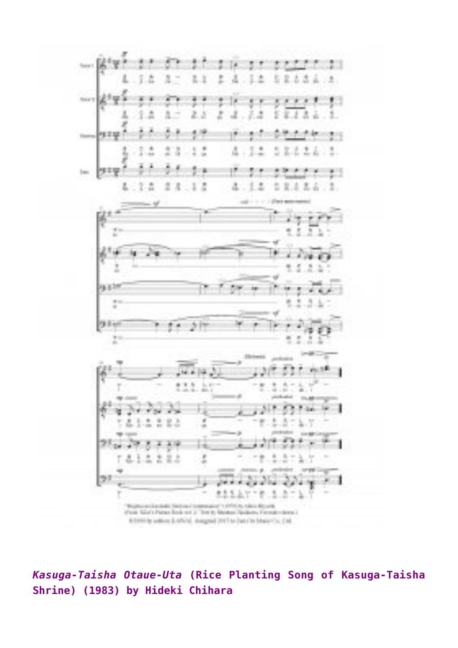![](_page_11_Figure_0.jpeg)

*Kasuga-Taisha Otaue-Uta* **(Rice Planting Song of Kasuga-Taisha Shrine) (1983) by Hideki Chihara**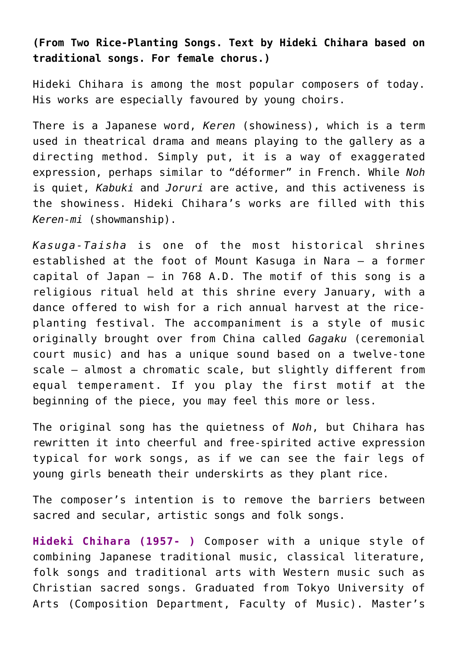**(From Two Rice-Planting Songs. Text by Hideki Chihara based on traditional songs. For female chorus.)**

Hideki Chihara is among the most popular composers of today. His works are especially favoured by young choirs.

There is a Japanese word, *Keren* (showiness), which is a term used in theatrical drama and means playing to the gallery as a directing method. Simply put, it is a way of exaggerated expression, perhaps similar to "déformer" in French. While *Noh* is quiet, *Kabuki* and *Joruri* are active, and this activeness is the showiness. Hideki Chihara's works are filled with this *Keren-mi* (showmanship).

*Kasuga-Taisha* is one of the most historical shrines established at the foot of Mount Kasuga in Nara – a former capital of Japan – in 768 A.D. The motif of this song is a religious ritual held at this shrine every January, with a dance offered to wish for a rich annual harvest at the riceplanting festival. The accompaniment is a style of music originally brought over from China called *Gagaku* (ceremonial court music) and has a unique sound based on a twelve-tone scale – almost a chromatic scale, but slightly different from equal temperament. If you play the first motif at the beginning of the piece, you may feel this more or less.

The original song has the quietness of *Noh*, but Chihara has rewritten it into cheerful and free-spirited active expression typical for work songs, as if we can see the fair legs of young girls beneath their underskirts as they plant rice.

The composer's intention is to remove the barriers between sacred and secular, artistic songs and folk songs.

**Hideki Chihara (1957- )** Composer with a unique style of combining Japanese traditional music, classical literature, folk songs and traditional arts with Western music such as Christian sacred songs. Graduated from Tokyo University of Arts (Composition Department, Faculty of Music). Master's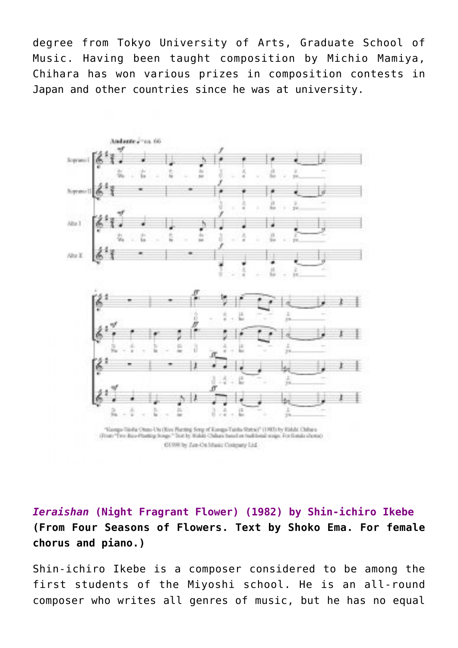degree from Tokyo University of Arts, Graduate School of Music. Having been taught composition by Michio Mamiya, Chihara has won various prizes in composition contests in Japan and other countries since he was at university.

![](_page_13_Figure_1.jpeg)

01999 by Zan-On Marie Company Ltd.

*Ieraishan* **(Night Fragrant Flower) (1982) by Shin-ichiro Ikebe (From Four Seasons of Flowers. Text by Shoko Ema. For female chorus and piano.)**

Shin-ichiro Ikebe is a composer considered to be among the first students of the Miyoshi school. He is an all-round composer who writes all genres of music, but he has no equal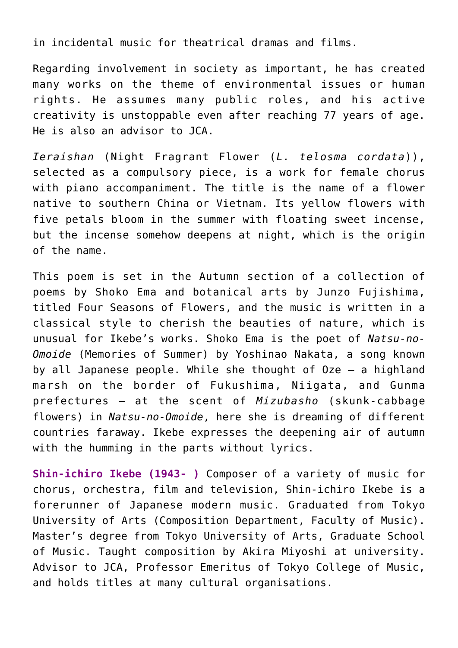in incidental music for theatrical dramas and films.

Regarding involvement in society as important, he has created many works on the theme of environmental issues or human rights. He assumes many public roles, and his active creativity is unstoppable even after reaching 77 years of age. He is also an advisor to JCA.

*Ieraishan* (Night Fragrant Flower (*L. telosma cordata*)), selected as a compulsory piece, is a work for female chorus with piano accompaniment. The title is the name of a flower native to southern China or Vietnam. Its yellow flowers with five petals bloom in the summer with floating sweet incense, but the incense somehow deepens at night, which is the origin of the name.

This poem is set in the Autumn section of a collection of poems by Shoko Ema and botanical arts by Junzo Fujishima, titled Four Seasons of Flowers, and the music is written in a classical style to cherish the beauties of nature, which is unusual for Ikebe's works. Shoko Ema is the poet of *Natsu-no-Omoide* (Memories of Summer) by Yoshinao Nakata, a song known by all Japanese people. While she thought of Oze – a highland marsh on the border of Fukushima, Niigata, and Gunma prefectures – at the scent of *Mizubasho* (skunk-cabbage flowers) in *Natsu-no-Omoide*, here she is dreaming of different countries faraway. Ikebe expresses the deepening air of autumn with the humming in the parts without lyrics.

**Shin-ichiro Ikebe (1943- )** Composer of a variety of music for chorus, orchestra, film and television, Shin-ichiro Ikebe is a forerunner of Japanese modern music. Graduated from Tokyo University of Arts (Composition Department, Faculty of Music). Master's degree from Tokyo University of Arts, Graduate School of Music. Taught composition by Akira Miyoshi at university. Advisor to JCA, Professor Emeritus of Tokyo College of Music, and holds titles at many cultural organisations.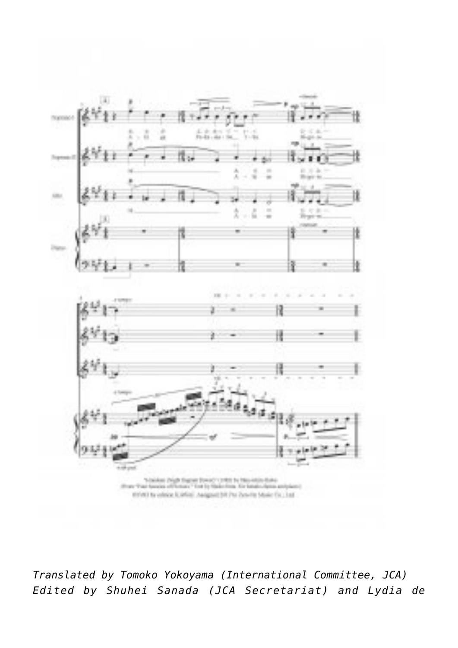![](_page_15_Figure_0.jpeg)

![](_page_15_Figure_1.jpeg)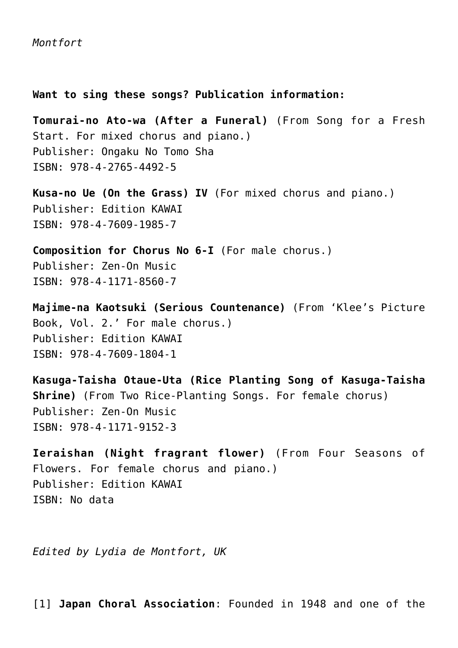**Want to sing these songs? Publication information:**

**Tomurai-no Ato-wa (After a Funeral)** (From Song for a Fresh Start. For mixed chorus and piano.) Publisher: Ongaku No Tomo Sha ISBN: 978-4-2765-4492-5

**Kusa-no Ue (On the Grass) IV** (For mixed chorus and piano.) Publisher: Edition KAWAI ISBN: 978-4-7609-1985-7

**Composition for Chorus No 6-I** (For male chorus.) Publisher: Zen-On Music ISBN: 978-4-1171-8560-7

**Majime-na Kaotsuki (Serious Countenance)** (From 'Klee's Picture Book, Vol. 2.' For male chorus.) Publisher: Edition KAWAI ISBN: 978-4-7609-1804-1

**Kasuga-Taisha Otaue-Uta (Rice Planting Song of Kasuga-Taisha Shrine)** (From Two Rice-Planting Songs. For female chorus) Publisher: Zen-On Music ISBN: 978-4-1171-9152-3

**Ieraishan (Night fragrant flower)** (From Four Seasons of Flowers. For female chorus and piano.) Publisher: Edition KAWAI ISBN: No data

*Edited by Lydia de Montfort, UK*

<span id="page-16-0"></span>[\[1\]](#page-0-0) **[Japan Choral Association](https://jcanet.or.jp/profile/jca-english.htm#CON)**: Founded in 1948 and one of the